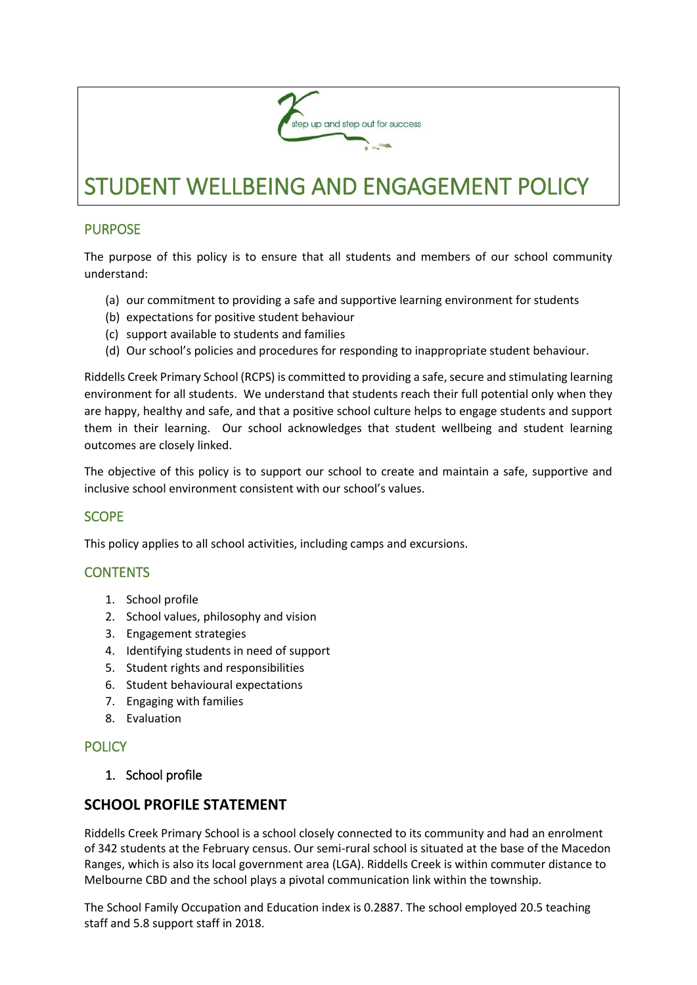

# **PURPOSE**

The purpose of this policy is to ensure that all students and members of our school community understand:

- (a) our commitment to providing a safe and supportive learning environment for students
- (b) expectations for positive student behaviour
- (c) support available to students and families
- (d) Our school's policies and procedures for responding to inappropriate student behaviour.

Riddells Creek Primary School (RCPS) is committed to providing a safe, secure and stimulating learning environment for all students. We understand that students reach their full potential only when they are happy, healthy and safe, and that a positive school culture helps to engage students and support them in their learning. Our school acknowledges that student wellbeing and student learning outcomes are closely linked.

The objective of this policy is to support our school to create and maintain a safe, supportive and inclusive school environment consistent with our school's values.

# **SCOPE**

This policy applies to all school activities, including camps and excursions.

# **CONTENTS**

- 1. School profile
- 2. School values, philosophy and vision
- 3. Engagement strategies
- 4. Identifying students in need of support
- 5. Student rights and responsibilities
- 6. Student behavioural expectations
- 7. Engaging with families
- 8. Evaluation

# **POLICY**

1. School profile

# **SCHOOL PROFILE STATEMENT**

Riddells Creek Primary School is a school closely connected to its community and had an enrolment of 342 students at the February census. Our semi-rural school is situated at the base of the Macedon Ranges, which is also its local government area (LGA). Riddells Creek is within commuter distance to Melbourne CBD and the school plays a pivotal communication link within the township.

The School Family Occupation and Education index is 0.2887. The school employed 20.5 teaching staff and 5.8 support staff in 2018.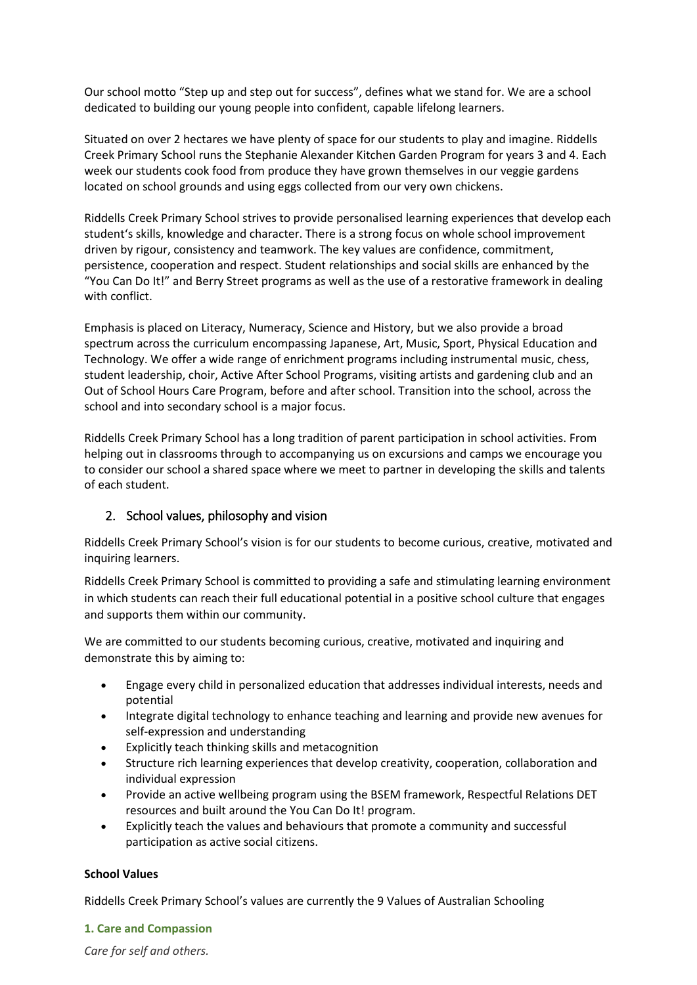Our school motto "Step up and step out for success", defines what we stand for. We are a school dedicated to building our young people into confident, capable lifelong learners.

Situated on over 2 hectares we have plenty of space for our students to play and imagine. Riddells Creek Primary School runs the Stephanie Alexander Kitchen Garden Program for years 3 and 4. Each week our students cook food from produce they have grown themselves in our veggie gardens located on school grounds and using eggs collected from our very own chickens.

Riddells Creek Primary School strives to provide personalised learning experiences that develop each student's skills, knowledge and character. There is a strong focus on whole school improvement driven by rigour, consistency and teamwork. The key values are confidence, commitment, persistence, cooperation and respect. Student relationships and social skills are enhanced by the "You Can Do It!" and Berry Street programs as well as the use of a restorative framework in dealing with conflict.

Emphasis is placed on Literacy, Numeracy, Science and History, but we also provide a broad spectrum across the curriculum encompassing Japanese, Art, Music, Sport, Physical Education and Technology. We offer a wide range of enrichment programs including instrumental music, chess, student leadership, choir, Active After School Programs, visiting artists and gardening club and an Out of School Hours Care Program, before and after school. Transition into the school, across the school and into secondary school is a major focus.

Riddells Creek Primary School has a long tradition of parent participation in school activities. From helping out in classrooms through to accompanying us on excursions and camps we encourage you to consider our school a shared space where we meet to partner in developing the skills and talents of each student.

# 2. School values, philosophy and vision

Riddells Creek Primary School's vision is for our students to become curious, creative, motivated and inquiring learners.

Riddells Creek Primary School is committed to providing a safe and stimulating learning environment in which students can reach their full educational potential in a positive school culture that engages and supports them within our community.

We are committed to our students becoming curious, creative, motivated and inquiring and demonstrate this by aiming to:

- Engage every child in personalized education that addresses individual interests, needs and potential
- Integrate digital technology to enhance teaching and learning and provide new avenues for self-expression and understanding
- Explicitly teach thinking skills and metacognition
- Structure rich learning experiences that develop creativity, cooperation, collaboration and individual expression
- Provide an active wellbeing program using the BSEM framework, Respectful Relations DET resources and built around the You Can Do It! program.
- Explicitly teach the values and behaviours that promote a community and successful participation as active social citizens.

# **School Values**

Riddells Creek Primary School's values are currently the 9 Values of Australian Schooling

**1. Care and Compassion**

*Care for self and others.*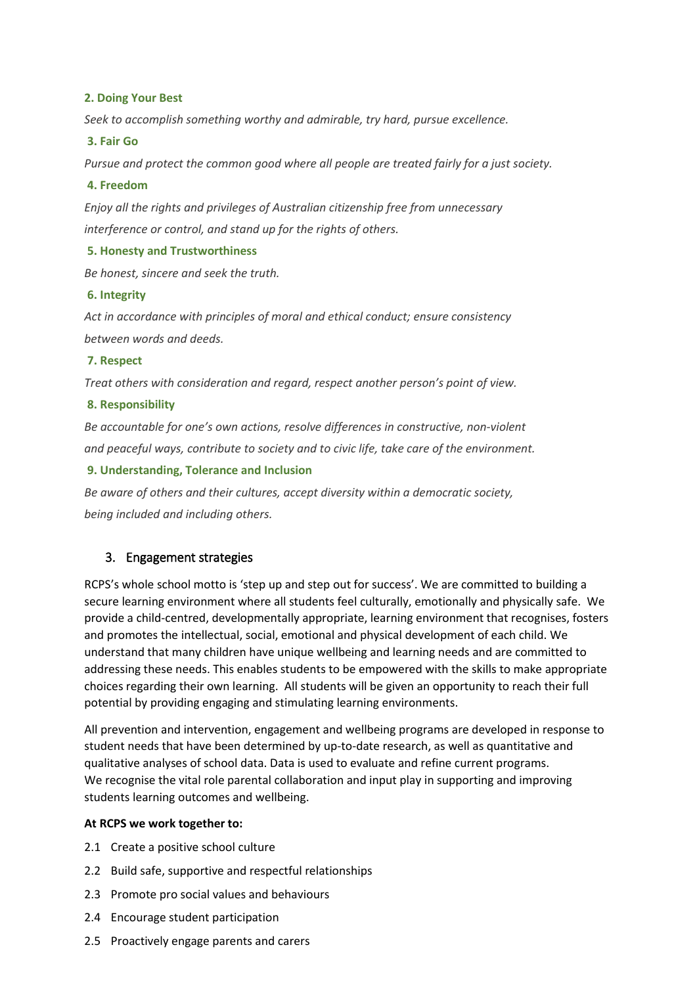### **2. Doing Your Best**

*Seek to accomplish something worthy and admirable, try hard, pursue excellence.*

### **3. Fair Go**

*Pursue and protect the common good where all people are treated fairly for a just society.*

### **4. Freedom**

*Enjoy all the rights and privileges of Australian citizenship free from unnecessary interference or control, and stand up for the rights of others.*

## **5. Honesty and Trustworthiness**

*Be honest, sincere and seek the truth.*

## **6. Integrity**

*Act in accordance with principles of moral and ethical conduct; ensure consistency between words and deeds.*

## **7. Respect**

*Treat others with consideration and regard, respect another person's point of view.*

## **8. Responsibility**

*Be accountable for one's own actions, resolve differences in constructive, non-violent and peaceful ways, contribute to society and to civic life, take care of the environment.*

## **9. Understanding, Tolerance and Inclusion**

*Be aware of others and their cultures, accept diversity within a democratic society, being included and including others.*

# 3. Engagement strategies

RCPS's whole school motto is 'step up and step out for success'. We are committed to building a secure learning environment where all students feel culturally, emotionally and physically safe. We provide a child-centred, developmentally appropriate, learning environment that recognises, fosters and promotes the intellectual, social, emotional and physical development of each child. We understand that many children have unique wellbeing and learning needs and are committed to addressing these needs. This enables students to be empowered with the skills to make appropriate choices regarding their own learning. All students will be given an opportunity to reach their full potential by providing engaging and stimulating learning environments.

All prevention and intervention, engagement and wellbeing programs are developed in response to student needs that have been determined by up-to-date research, as well as quantitative and qualitative analyses of school data. Data is used to evaluate and refine current programs. We recognise the vital role parental collaboration and input play in supporting and improving students learning outcomes and wellbeing.

#### **At RCPS we work together to:**

- 2.1 Create a positive school culture
- 2.2 Build safe, supportive and respectful relationships
- 2.3 Promote pro social values and behaviours
- 2.4 Encourage student participation
- 2.5 Proactively engage parents and carers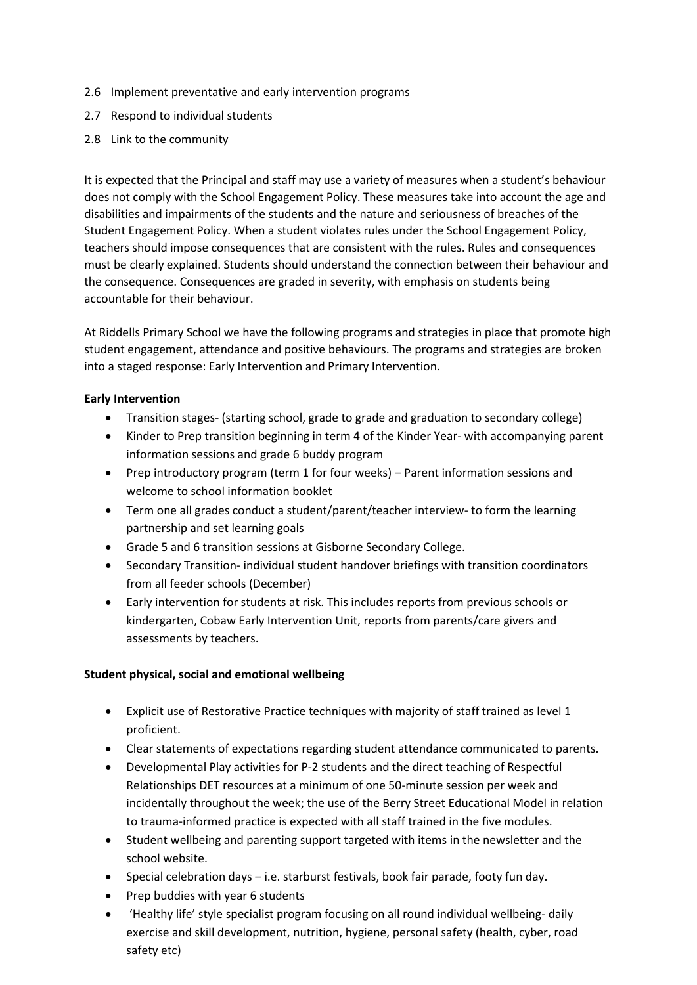- 2.6 Implement preventative and early intervention programs
- 2.7 Respond to individual students
- 2.8 Link to the community

It is expected that the Principal and staff may use a variety of measures when a student's behaviour does not comply with the School Engagement Policy. These measures take into account the age and disabilities and impairments of the students and the nature and seriousness of breaches of the Student Engagement Policy. When a student violates rules under the School Engagement Policy, teachers should impose consequences that are consistent with the rules. Rules and consequences must be clearly explained. Students should understand the connection between their behaviour and the consequence. Consequences are graded in severity, with emphasis on students being accountable for their behaviour.

At Riddells Primary School we have the following programs and strategies in place that promote high student engagement, attendance and positive behaviours. The programs and strategies are broken into a staged response: Early Intervention and Primary Intervention.

## **Early Intervention**

- Transition stages- (starting school, grade to grade and graduation to secondary college)
- Kinder to Prep transition beginning in term 4 of the Kinder Year- with accompanying parent information sessions and grade 6 buddy program
- Prep introductory program (term 1 for four weeks) Parent information sessions and welcome to school information booklet
- Term one all grades conduct a student/parent/teacher interview- to form the learning partnership and set learning goals
- Grade 5 and 6 transition sessions at Gisborne Secondary College.
- Secondary Transition- individual student handover briefings with transition coordinators from all feeder schools (December)
- Early intervention for students at risk. This includes reports from previous schools or kindergarten, Cobaw Early Intervention Unit, reports from parents/care givers and assessments by teachers.

#### **Student physical, social and emotional wellbeing**

- Explicit use of Restorative Practice techniques with majority of staff trained as level 1 proficient.
- Clear statements of expectations regarding student attendance communicated to parents.
- Developmental Play activities for P-2 students and the direct teaching of Respectful Relationships DET resources at a minimum of one 50-minute session per week and incidentally throughout the week; the use of the Berry Street Educational Model in relation to trauma-informed practice is expected with all staff trained in the five modules.
- Student wellbeing and parenting support targeted with items in the newsletter and the school website.
- Special celebration days i.e. starburst festivals, book fair parade, footy fun day.
- Prep buddies with year 6 students
- 'Healthy life' style specialist program focusing on all round individual wellbeing- daily exercise and skill development, nutrition, hygiene, personal safety (health, cyber, road safety etc)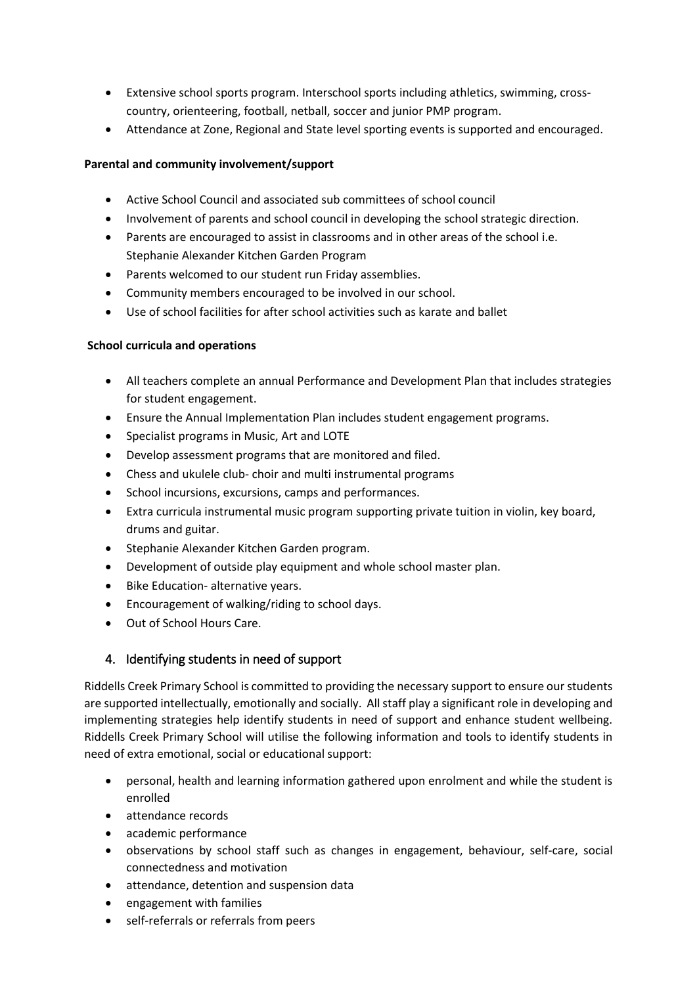- Extensive school sports program. Interschool sports including athletics, swimming, crosscountry, orienteering, football, netball, soccer and junior PMP program.
- Attendance at Zone, Regional and State level sporting events is supported and encouraged.

# **Parental and community involvement/support**

- Active School Council and associated sub committees of school council
- Involvement of parents and school council in developing the school strategic direction.
- Parents are encouraged to assist in classrooms and in other areas of the school i.e. Stephanie Alexander Kitchen Garden Program
- Parents welcomed to our student run Friday assemblies.
- Community members encouraged to be involved in our school.
- Use of school facilities for after school activities such as karate and ballet

## **School curricula and operations**

- All teachers complete an annual Performance and Development Plan that includes strategies for student engagement.
- Ensure the Annual Implementation Plan includes student engagement programs.
- Specialist programs in Music, Art and LOTE
- Develop assessment programs that are monitored and filed.
- Chess and ukulele club- choir and multi instrumental programs
- School incursions, excursions, camps and performances.
- Extra curricula instrumental music program supporting private tuition in violin, key board, drums and guitar.
- Stephanie Alexander Kitchen Garden program.
- Development of outside play equipment and whole school master plan.
- Bike Education- alternative years.
- Encouragement of walking/riding to school days.
- Out of School Hours Care.

# 4. Identifying students in need of support

Riddells Creek Primary School is committed to providing the necessary support to ensure our students are supported intellectually, emotionally and socially. All staff play a significant role in developing and implementing strategies help identify students in need of support and enhance student wellbeing. Riddells Creek Primary School will utilise the following information and tools to identify students in need of extra emotional, social or educational support:

- personal, health and learning information gathered upon enrolment and while the student is enrolled
- attendance records
- academic performance
- observations by school staff such as changes in engagement, behaviour, self-care, social connectedness and motivation
- attendance, detention and suspension data
- engagement with families
- self-referrals or referrals from peers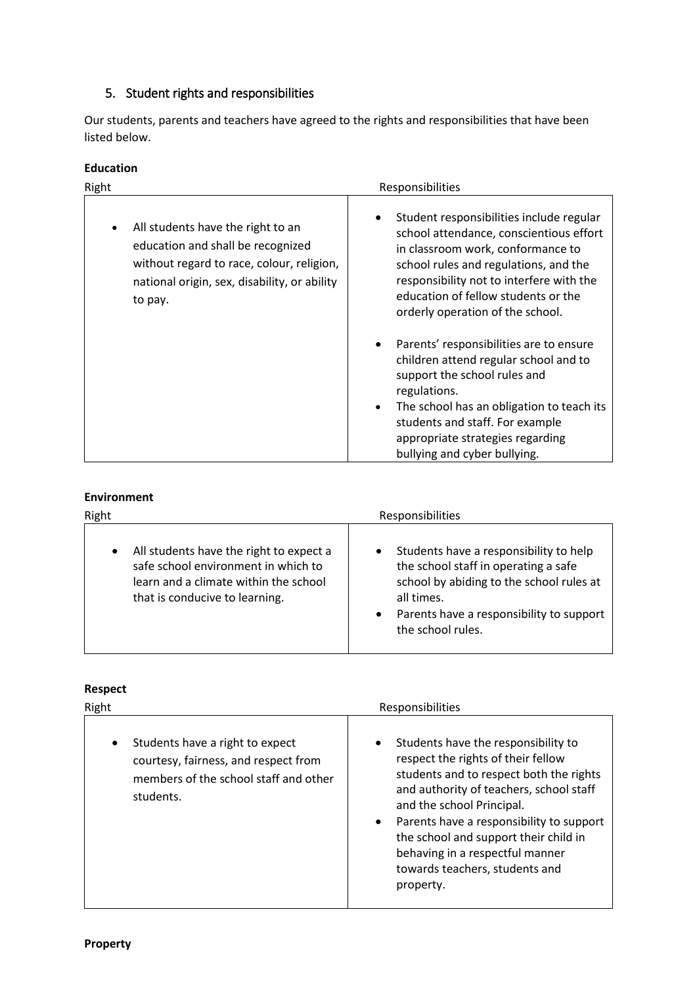# 5. Student rights and responsibilities

Our students, parents and teachers have agreed to the rights and responsibilities that have been listed below.

| Education |  |
|-----------|--|
|-----------|--|

| Right                                                                                                                                                                               | Responsibilities                                                                                                                                                                                                                                                                                  |  |  |
|-------------------------------------------------------------------------------------------------------------------------------------------------------------------------------------|---------------------------------------------------------------------------------------------------------------------------------------------------------------------------------------------------------------------------------------------------------------------------------------------------|--|--|
| All students have the right to an<br>٠<br>education and shall be recognized<br>without regard to race, colour, religion,<br>national origin, sex, disability, or ability<br>to pay. | Student responsibilities include regular<br>school attendance, conscientious effort<br>in classroom work, conformance to<br>school rules and regulations, and the<br>responsibility not to interfere with the<br>education of fellow students or the<br>orderly operation of the school.          |  |  |
|                                                                                                                                                                                     | Parents' responsibilities are to ensure<br>children attend regular school and to<br>support the school rules and<br>regulations.<br>The school has an obligation to teach its<br>$\bullet$<br>students and staff. For example<br>appropriate strategies regarding<br>bullying and cyber bullying. |  |  |

# **Environment**

| Right                                                                                                                                                                  | Responsibilities                                                                                                                                                                                                                    |  |  |  |
|------------------------------------------------------------------------------------------------------------------------------------------------------------------------|-------------------------------------------------------------------------------------------------------------------------------------------------------------------------------------------------------------------------------------|--|--|--|
| All students have the right to expect a<br>$\bullet$<br>safe school environment in which to<br>learn and a climate within the school<br>that is conducive to learning. | Students have a responsibility to help<br>$\bullet$<br>the school staff in operating a safe<br>school by abiding to the school rules at<br>all times.<br>Parents have a responsibility to support<br>$\bullet$<br>the school rules. |  |  |  |

# **Respect**

|                                                                                                                                                                                                                                                                                                                                                                                                           | Right | Responsibilities                                                                                                               |  |
|-----------------------------------------------------------------------------------------------------------------------------------------------------------------------------------------------------------------------------------------------------------------------------------------------------------------------------------------------------------------------------------------------------------|-------|--------------------------------------------------------------------------------------------------------------------------------|--|
| Students have the responsibility to<br>Students have a right to expect<br>$\bullet$<br>$\bullet$<br>respect the rights of their fellow<br>courtesy, fairness, and respect from<br>members of the school staff and other<br>students.<br>and the school Principal.<br>$\bullet$<br>the school and support their child in<br>behaving in a respectful manner<br>towards teachers, students and<br>property. |       | students and to respect both the rights<br>and authority of teachers, school staff<br>Parents have a responsibility to support |  |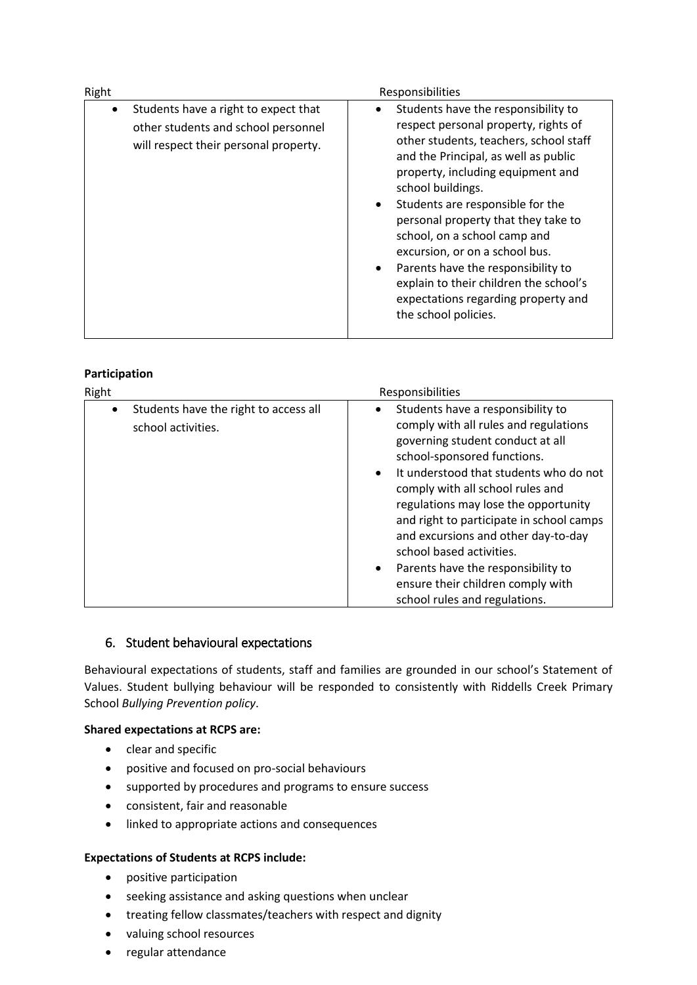| Right     | Responsibilities                                                                                                     |                                                                                                                                                                                                                                                                                                                                                                                                                                                                                                                                                            |  |  |  |
|-----------|----------------------------------------------------------------------------------------------------------------------|------------------------------------------------------------------------------------------------------------------------------------------------------------------------------------------------------------------------------------------------------------------------------------------------------------------------------------------------------------------------------------------------------------------------------------------------------------------------------------------------------------------------------------------------------------|--|--|--|
| $\bullet$ | Students have a right to expect that<br>other students and school personnel<br>will respect their personal property. | Students have the responsibility to<br>$\bullet$<br>respect personal property, rights of<br>other students, teachers, school staff<br>and the Principal, as well as public<br>property, including equipment and<br>school buildings.<br>Students are responsible for the<br>$\bullet$<br>personal property that they take to<br>school, on a school camp and<br>excursion, or on a school bus.<br>Parents have the responsibility to<br>$\bullet$<br>explain to their children the school's<br>expectations regarding property and<br>the school policies. |  |  |  |

# **Participation**

| Right     |                                                             | Responsibilities                    |                                                                                                                                                                                                                                                                                                                                                                                                                                                                                                |
|-----------|-------------------------------------------------------------|-------------------------------------|------------------------------------------------------------------------------------------------------------------------------------------------------------------------------------------------------------------------------------------------------------------------------------------------------------------------------------------------------------------------------------------------------------------------------------------------------------------------------------------------|
| $\bullet$ | Students have the right to access all<br>school activities. | $\bullet$<br>$\bullet$<br>$\bullet$ | Students have a responsibility to<br>comply with all rules and regulations<br>governing student conduct at all<br>school-sponsored functions.<br>It understood that students who do not<br>comply with all school rules and<br>regulations may lose the opportunity<br>and right to participate in school camps<br>and excursions and other day-to-day<br>school based activities.<br>Parents have the responsibility to<br>ensure their children comply with<br>school rules and regulations. |

# 6. Student behavioural expectations

Behavioural expectations of students, staff and families are grounded in our school's Statement of Values. Student bullying behaviour will be responded to consistently with Riddells Creek Primary School *Bullying Prevention policy*.

#### **Shared expectations at RCPS are:**

- clear and specific
- positive and focused on pro-social behaviours
- supported by procedures and programs to ensure success
- consistent, fair and reasonable
- linked to appropriate actions and consequences

## **Expectations of Students at RCPS include:**

- positive participation
- seeking assistance and asking questions when unclear
- treating fellow classmates/teachers with respect and dignity
- valuing school resources
- regular attendance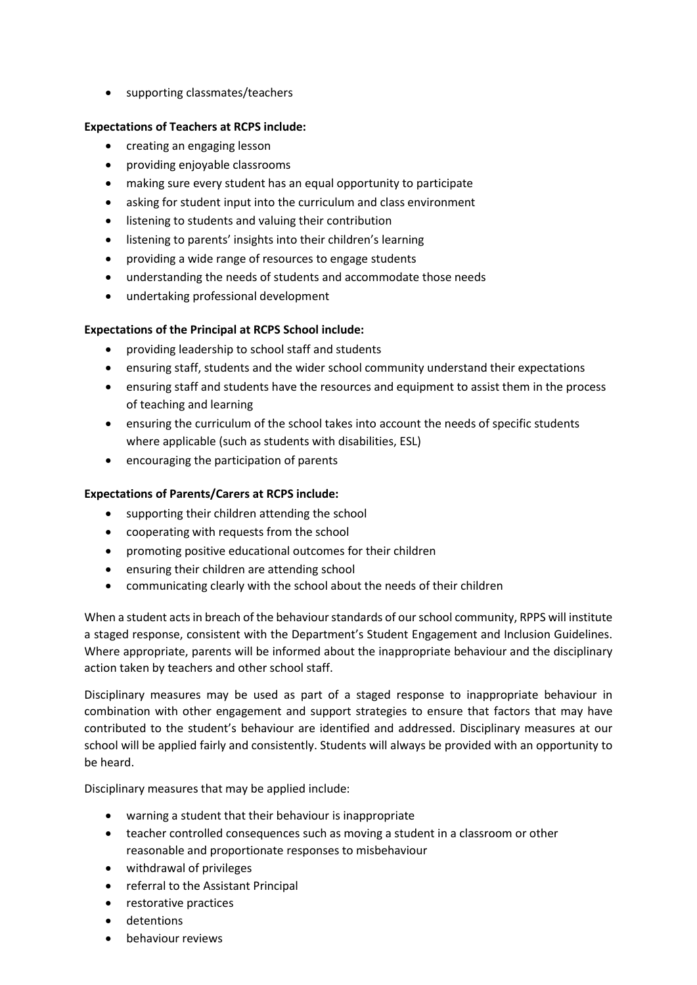• supporting classmates/teachers

## **Expectations of Teachers at RCPS include:**

- creating an engaging lesson
- providing enjoyable classrooms
- making sure every student has an equal opportunity to participate
- asking for student input into the curriculum and class environment
- **•** listening to students and valuing their contribution
- listening to parents' insights into their children's learning
- providing a wide range of resources to engage students
- understanding the needs of students and accommodate those needs
- undertaking professional development

## **Expectations of the Principal at RCPS School include:**

- providing leadership to school staff and students
- ensuring staff, students and the wider school community understand their expectations
- ensuring staff and students have the resources and equipment to assist them in the process of teaching and learning
- ensuring the curriculum of the school takes into account the needs of specific students where applicable (such as students with disabilities, ESL)
- encouraging the participation of parents

#### **Expectations of Parents/Carers at RCPS include:**

- supporting their children attending the school
- cooperating with requests from the school
- promoting positive educational outcomes for their children
- ensuring their children are attending school
- communicating clearly with the school about the needs of their children

When a student acts in breach of the behaviour standards of our school community, RPPS will institute a staged response, consistent with the Department's Student Engagement and Inclusion Guidelines. Where appropriate, parents will be informed about the inappropriate behaviour and the disciplinary action taken by teachers and other school staff.

Disciplinary measures may be used as part of a staged response to inappropriate behaviour in combination with other engagement and support strategies to ensure that factors that may have contributed to the student's behaviour are identified and addressed. Disciplinary measures at our school will be applied fairly and consistently. Students will always be provided with an opportunity to be heard.

Disciplinary measures that may be applied include:

- warning a student that their behaviour is inappropriate
- teacher controlled consequences such as moving a student in a classroom or other reasonable and proportionate responses to misbehaviour
- withdrawal of privileges
- referral to the Assistant Principal
- restorative practices
- detentions
- behaviour reviews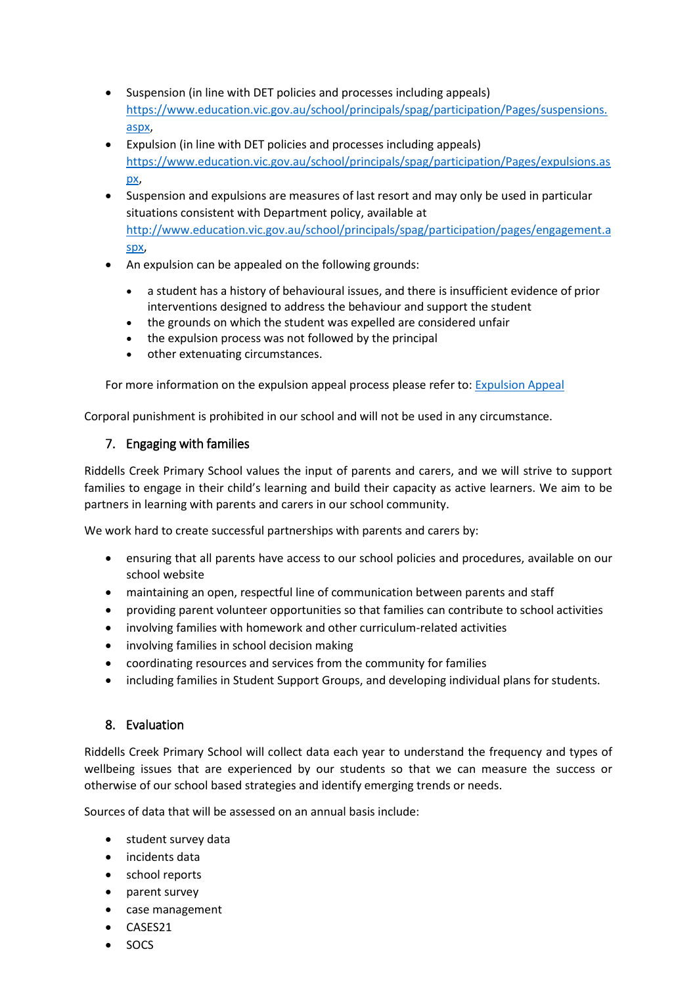- Suspension (in line with DET policies and processes including appeals) [https://www.education.vic.gov.au/school/principals/spag/participation/Pages/suspensions.](https://www.education.vic.gov.au/school/principals/spag/participation/Pages/suspensions.aspx) [aspx,](https://www.education.vic.gov.au/school/principals/spag/participation/Pages/suspensions.aspx)
- Expulsion (in line with DET policies and processes including appeals) [https://www.education.vic.gov.au/school/principals/spag/participation/Pages/expulsions.as](https://www.education.vic.gov.au/school/principals/spag/participation/Pages/expulsions.aspx) [px,](https://www.education.vic.gov.au/school/principals/spag/participation/Pages/expulsions.aspx)
- Suspension and expulsions are measures of last resort and may only be used in particular situations consistent with Department policy, available at [http://www.education.vic.gov.au/school/principals/spag/participation/pages/engagement.a](http://www.education.vic.gov.au/school/principals/spag/participation/pages/engagement.aspx) [spx,](http://www.education.vic.gov.au/school/principals/spag/participation/pages/engagement.aspx)
- An expulsion can be appealed on the following grounds:
	- a student has a history of behavioural issues, and there is insufficient evidence of prior interventions designed to address the behaviour and support the student
	- the grounds on which the student was expelled are considered unfair
	- the expulsion process was not followed by the principal
	- other extenuating circumstances.

For more information on the expulsion appeal process please refer to: [Expulsion Appeal](https://www.education.vic.gov.au/school/teachers/behaviour/suspension-expulsion/Pages/expulsionappeal.aspx)

Corporal punishment is prohibited in our school and will not be used in any circumstance.

# 7. Engaging with families

Riddells Creek Primary School values the input of parents and carers, and we will strive to support families to engage in their child's learning and build their capacity as active learners. We aim to be partners in learning with parents and carers in our school community.

We work hard to create successful partnerships with parents and carers by:

- ensuring that all parents have access to our school policies and procedures, available on our school website
- maintaining an open, respectful line of communication between parents and staff
- providing parent volunteer opportunities so that families can contribute to school activities
- involving families with homework and other curriculum-related activities
- involving families in school decision making
- coordinating resources and services from the community for families
- including families in Student Support Groups, and developing individual plans for students.

# 8. Evaluation

Riddells Creek Primary School will collect data each year to understand the frequency and types of wellbeing issues that are experienced by our students so that we can measure the success or otherwise of our school based strategies and identify emerging trends or needs.

Sources of data that will be assessed on an annual basis include:

- student survey data
- incidents data
- school reports
- parent survey
- case management
- CASES21
- SOCS